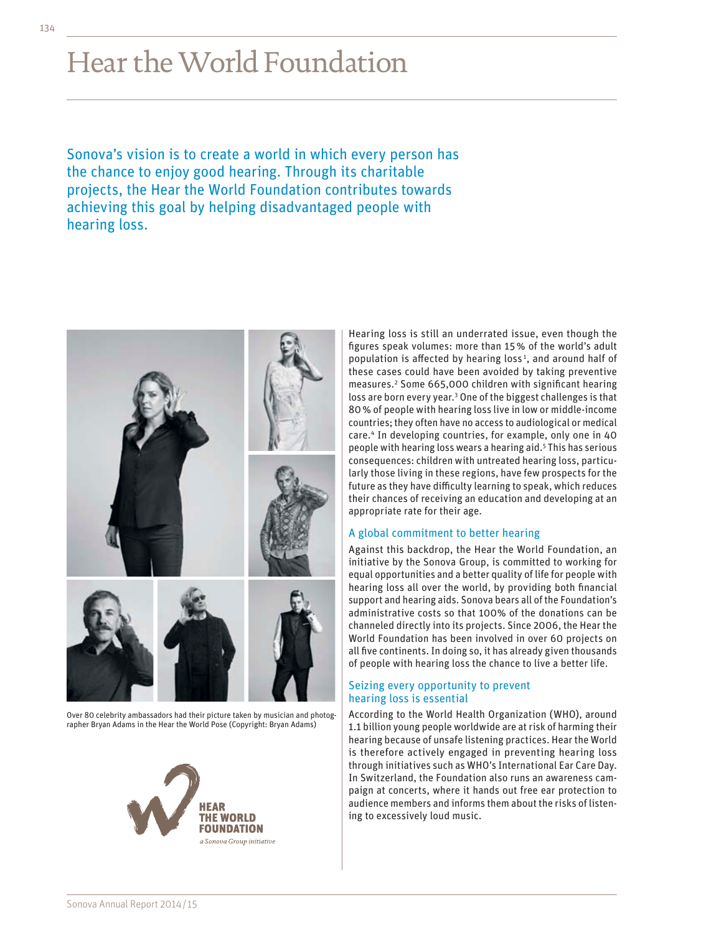# Hear the World Foundation

Sonova's vision is to create a world in which every person has the chance to enjoy good hearing. Through its charitable projects, the Hear the World Foundation contributes towards achieving this goal by helping disadvantaged people with hearing loss.



Over 80 celebrity ambassadors had their picture taken by musician and photographer Bryan Adams in the Hear the World Pose (Copyright: Bryan Adams)



Hearing loss is still an underrated issue, even though the figures speak volumes: more than 15% of the world's adult population is affected by hearing loss<sup>1</sup>, and around half of these cases could have been avoided by taking preventive measures.2 Some 665,000 children with significant hearing loss are born every year.<sup>3</sup> One of the biggest challenges is that 80% of people with hearing loss live in low or middle-income countries; they often have no access to audiological or medical care.4 In developing countries, for example, only one in 40 people with hearing loss wears a hearing aid.<sup>5</sup> This has serious consequences: children with untreated hearing loss, particularly those living in these regions, have few prospects for the future as they have difficulty learning to speak, which reduces their chances of receiving an education and developing at an appropriate rate for their age.

### A global commitment to better hearing

Against this backdrop, the Hear the World Foundation, an initiative by the Sonova Group, is committed to working for equal opportunities and a better quality of life for people with hearing loss all over the world, by providing both financial support and hearing aids. Sonova bears all of the Foundation's administrative costs so that 100% of the donations can be channeled directly into its projects. Since 2006, the Hear the World Foundation has been involved in over 60 projects on all five continents. In doing so, it has already given thousands of people with hearing loss the chance to live a better life.

### Seizing every opportunity to prevent hearing loss is essential

According to the World Health Organization (WHO), around 1.1 billion young people worldwide are at risk of harming their hearing because of unsafe listening practices. Hear the World is therefore actively engaged in preventing hearing loss through initiatives such as WHO's International Ear Care Day. In Switzerland, the Foundation also runs an awareness campaign at concerts, where it hands out free ear protection to audience members and informs them about the risks of listening to excessively loud music.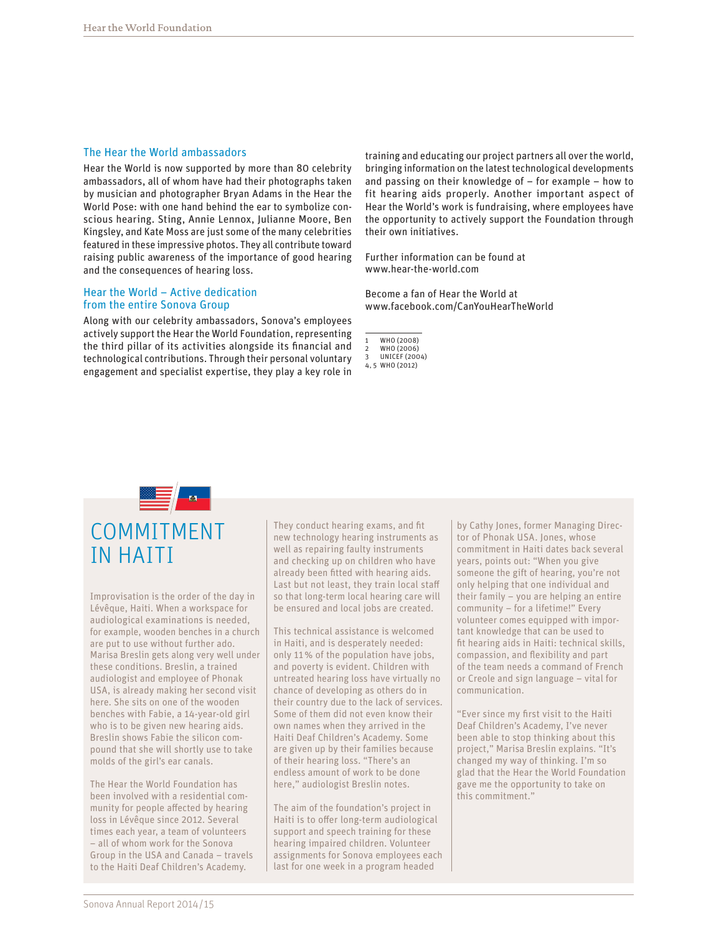#### The Hear the World ambassadors

Hear the World is now supported by more than 80 celebrity ambassadors, all of whom have had their photographs taken by musician and photographer Bryan Adams in the Hear the World Pose: with one hand behind the ear to symbolize conscious hearing. Sting, Annie Lennox, Julianne Moore, Ben Kingsley, and Kate Moss are just some of the many celebrities featured in these impressive photos. They all contribute toward raising public awareness of the importance of good hearing and the consequences of hearing loss.

## Hear the World – Active dedication from the entire Sonova Group

Along with our celebrity ambassadors, Sonova's employees actively support the Hear the World Foundation, representing the third pillar of its activities alongside its financial and technological contributions. Through their personal voluntary engagement and specialist expertise, they play a key role in training and educating our project partners all over the world, bringing information on the latest technological developments and passing on their knowledge of – for example – how to fit hearing aids properly. Another important aspect of Hear the World's work is fundraising, where employees have the opportunity to actively support the Foundation through their own initiatives.

Further information can be found at [www.hear-the-world.com](http://www.hear-the-world.com)

Become a fan of Hear the World at [www.facebook.com/CanYouHearTheWorld](http://www.facebook.com/CanYouHearTheWorld)

WHO (2008)

- WHO (2006)
- **UNICEF (2004)** 4, 5 WHO (2012)

E / A COMMITMENT IN HAITI

Improvisation is the order of the day in Lévêque, Haiti. When a workspace for audiological examinations is needed, for example, wooden benches in a church are put to use without further ado. Marisa Breslin gets along very well under these conditions. Breslin, a trained audiologist and employee of Phonak USA, is already making her second visit here. She sits on one of the wooden benches with Fabie, a 14-year-old girl who is to be given new hearing aids. Breslin shows Fabie the silicon compound that she will shortly use to take molds of the girl's ear canals.

The Hear the World Foundation has been involved with a residential community for people affected by hearing loss in Lévêque since 2012. Several times each year, a team of volunteers – all of whom work for the Sonova Group in the USA and Canada – travels to the Haiti Deaf Children's Academy.

They conduct hearing exams, and fit new technology hearing instruments as well as repairing faulty instruments and checking up on children who have already been fitted with hearing aids. Last but not least, they train local staff so that long-term local hearing care will be ensured and local jobs are created.

This technical assistance is welcomed in Haiti, and is desperately needed: only 11% of the population have jobs, and poverty is evident. Children with untreated hearing loss have virtually no chance of developing as others do in their country due to the lack of services. Some of them did not even know their own names when they arrived in the Haiti Deaf Children's Academy. Some are given up by their families because of their hearing loss. "There's an endless amount of work to be done here," audiologist Breslin notes.

The aim of the foundation's project in Haiti is to offer long-term audiological support and speech training for these hearing impaired children. Volunteer assignments for Sonova employees each last for one week in a program headed

by Cathy Jones, former Managing Director of Phonak USA. Jones, whose commitment in Haiti dates back several years, points out: "When you give someone the gift of hearing, you're not only helping that one individual and their family – you are helping an entire community – for a lifetime!" Every volunteer comes equipped with important knowledge that can be used to fit hearing aids in Haiti: technical skills, compassion, and flexibility and part of the team needs a command of French or Creole and sign language – vital for communication.

"Ever since my first visit to the Haiti Deaf Children's Academy, I've never been able to stop thinking about this project," Marisa Breslin explains. "It's changed my way of thinking. I'm so glad that the Hear the World Foundation gave me the opportunity to take on this commitment."